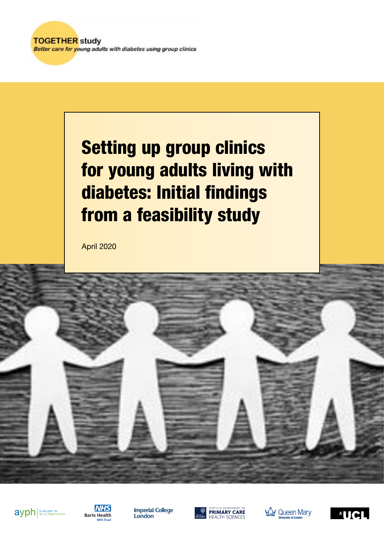**TOGETHER study** Better care for young adults with diabetes using group clinics

# Setting up group clinics for young adults living with diabetes: Initial findings from a feasibility study

April 2020





**Imperial College** London





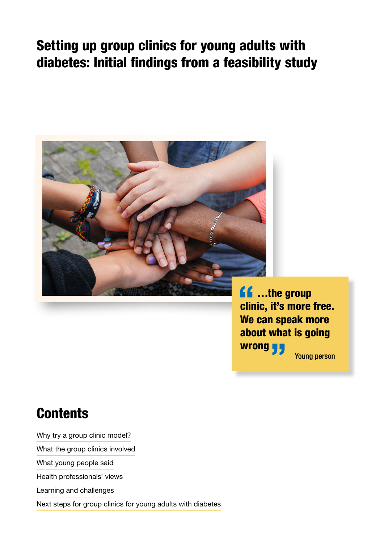## Setting up group clinics for young adults with diabetes: Initial findings from a feasibility study



**ff** ...the group<br>clinic, it's more clinic, it's more free. We can speak more about what is going wrong <mark>y y</mark><br>———————————————————— Young person

## **Contents**

Why try a group clinic model?

What the group clinics involved

What young people said

Health professionals' views

Learning and challenges

Next steps for group clinics for young adults with diabetes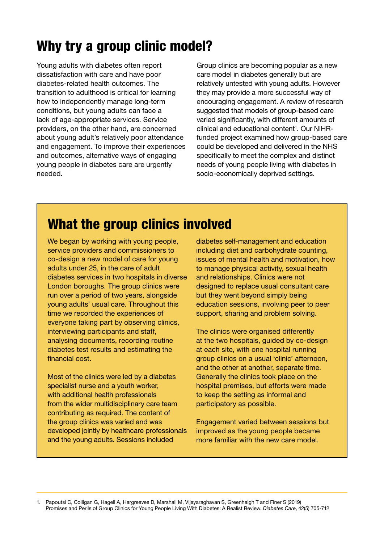## Why try a group clinic model?

Young adults with diabetes often report dissatisfaction with care and have poor diabetes-related health outcomes. The transition to adulthood is critical for learning how to independently manage long-term conditions, but young adults can face a lack of age-appropriate services. Service providers, on the other hand, are concerned about young adult's relatively poor attendance and engagement. To improve their experiences and outcomes, alternative ways of engaging young people in diabetes care are urgently needed.

Group clinics are becoming popular as a new care model in diabetes generally but are relatively untested with young adults. However they may provide a more successful way of encouraging engagement. A review of research suggested that models of group-based care varied significantly, with different amounts of clinical and educational content<sup>1</sup>. Our NIHRfunded project examined how group-based care could be developed and delivered in the NHS specifically to meet the complex and distinct needs of young people living with diabetes in socio-economically deprived settings.

## What the group clinics involved

We began by working with young people, service providers and commissioners to co-design a new model of care for young adults under 25, in the care of adult diabetes services in two hospitals in diverse London boroughs. The group clinics were run over a period of two years, alongside young adults' usual care. Throughout this time we recorded the experiences of everyone taking part by observing clinics, interviewing participants and staff, analysing documents, recording routine diabetes test results and estimating the financial cost.

Most of the clinics were led by a diabetes specialist nurse and a youth worker, with additional health professionals from the wider multidisciplinary care team contributing as required. The content of the group clinics was varied and was developed jointly by healthcare professionals and the young adults. Sessions included

diabetes self-management and education including diet and carbohydrate counting, issues of mental health and motivation, how to manage physical activity, sexual health and relationships. Clinics were not designed to replace usual consultant care but they went beyond simply being education sessions, involving peer to peer support, sharing and problem solving.

The clinics were organised differently at the two hospitals, guided by co-design at each site, with one hospital running group clinics on a usual 'clinic' afternoon, and the other at another, separate time. Generally the clinics took place on the hospital premises, but efforts were made to keep the setting as informal and participatory as possible.

Engagement varied between sessions but improved as the young people became more familiar with the new care model.

1. Papoutsi C, Colligan G, Hagell A, Hargreaves D, Marshall M, Vijayaraghavan S, Greenhalgh T and Finer S (2019) Promises and Perils of Group Clinics for Young People Living With Diabetes: A Realist Review. *Diabetes Care*, 42(5) 705-712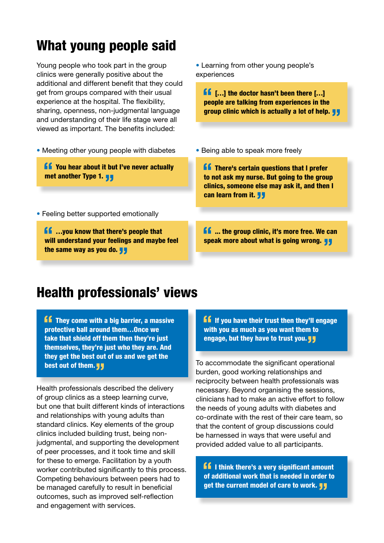## What young people said

Young people who took part in the group clinics were generally positive about the additional and different benefit that they could get from groups compared with their usual experience at the hospital. The flexibility, sharing, openness, non-judgmental language and understanding of their life stage were all viewed as important. The benefits included:

• Meeting other young people with diabetes

**K** You hear about it but I've never actually met another Type 1.  $\blacksquare$ 

• Feeling better supported emotionally

**ff** ...you know that there's people that<br>will understand your feelings and mayb will understand your feelings and maybe feel the same way as you do. <mark>JJ</mark><br>.

• Learning from other young people's experiences

**ff**  $[...]$  the doctor hasn't been there  $[...]$  people are talking from experiences in the people are talking from experiences in the group clinic which is actually a lot of help. **JJ** 

• Being able to speak more freely

**ff** There's certain questions that I prefer<br>to not ask my nurse. But going to the grou to not ask my nurse. But going to the group clinics, someone else may ask it, and then I can learn from it. "

 $\blacksquare$  ... the group clinic, it's more free. We can speak more about what is going wrong.  $\blacksquare$ 

#### Health professionals' views

They come with a big barrier, a massive " " protective ball around them…Once we take that shield off them then they're just themselves, they're just who they are. And they get the best out of us and we get the best out of them. <mark>JJ</mark><br>————————————————————

Health professionals described the delivery of group clinics as a steep learning curve, but one that built different kinds of interactions and relationships with young adults than standard clinics. Key elements of the group clinics included building trust, being nonjudgmental, and supporting the development of peer processes, and it took time and skill for these to emerge. Facilitation by a youth worker contributed significantly to this process. Competing behaviours between peers had to be managed carefully to result in beneficial outcomes, such as improved self-reflection and engagement with services.

**If** If you have their trust then they'll engage with you as much as you want them to engage, but they have to trust you. "

To accommodate the significant operational burden, good working relationships and reciprocity between health professionals was necessary. Beyond organising the sessions, clinicians had to make an active effort to follow the needs of young adults with diabetes and co-ordinate with the rest of their care team, so that the content of group discussions could be harnessed in ways that were useful and provided added value to all participants.

**f f** I think there's a very significant amount of additional work that is needed in order to of additional work that is needed in order to get the current model of care to work. JJ<br>————————————————————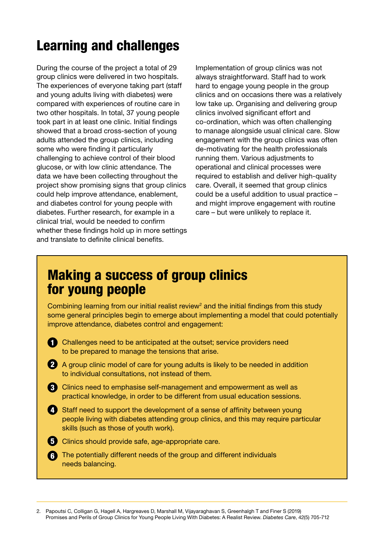## Learning and challenges

During the course of the project a total of 29 group clinics were delivered in two hospitals. The experiences of everyone taking part (staff and young adults living with diabetes) were compared with experiences of routine care in two other hospitals. In total, 37 young people took part in at least one clinic. Initial findings showed that a broad cross-section of young adults attended the group clinics, including some who were finding it particularly challenging to achieve control of their blood glucose, or with low clinic attendance. The data we have been collecting throughout the project show promising signs that group clinics could help improve attendance, enablement, and diabetes control for young people with diabetes. Further research, for example in a clinical trial, would be needed to confirm whether these findings hold up in more settings and translate to definite clinical benefits.

Implementation of group clinics was not always straightforward. Staff had to work hard to engage young people in the group clinics and on occasions there was a relatively low take up. Organising and delivering group clinics involved significant effort and co-ordination, which was often challenging to manage alongside usual clinical care. Slow engagement with the group clinics was often de-motivating for the health professionals running them. Various adjustments to operational and clinical processes were required to establish and deliver high-quality care. Overall, it seemed that group clinics could be a useful addition to usual practice – and might improve engagement with routine care – but were unlikely to replace it.

#### Making a success of group clinics for young people

Combining learning from our initial realist review<sup>2</sup> and the initial findings from this study some general principles begin to emerge about implementing a model that could potentially improve attendance, diabetes control and engagement:

- 1 Challenges need to be anticipated at the outset; service providers need to be prepared to manage the tensions that arise.
- 2 A group clinic model of care for young adults is likely to be needed in addition to individual consultations, not instead of them.
- **3** Clinics need to emphasise self-management and empowerment as well as practical knowledge, in order to be different from usual education sessions.
- 4. Staff need to support the development of a sense of affinity between young people living with diabetes attending group clinics, and this may require particular skills (such as those of youth work).
- **5** Clinics should provide safe, age-appropriate care.
- The potentially different needs of the group and different individuals 6 needs balancing.

<sup>2.</sup> Papoutsi C, Colligan G, Hagell A, Hargreaves D, Marshall M, Vijayaraghavan S, Greenhalgh T and Finer S (2019) Promises and Perils of Group Clinics for Young People Living With Diabetes: A Realist Review. *Diabetes Care*, 42(5) 705-712